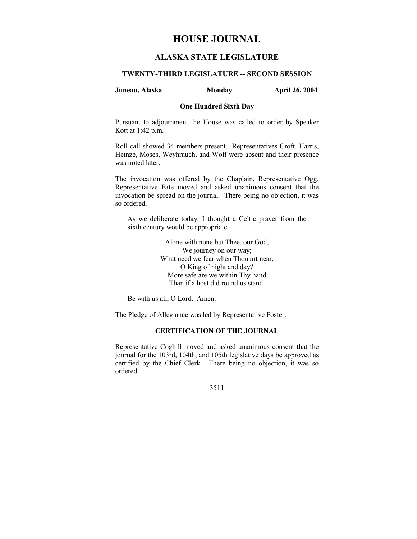# **HOUSE JOURNAL**

# **ALASKA STATE LEGISLATURE**

# **TWENTY-THIRD LEGISLATURE -- SECOND SESSION**

## **Juneau, Alaska Monday April 26, 2004**

# **One Hundred Sixth Day**

Pursuant to adjournment the House was called to order by Speaker Kott at 1:42 p.m.

Roll call showed 34 members present. Representatives Croft, Harris, Heinze, Moses, Weyhrauch, and Wolf were absent and their presence was noted later.

The invocation was offered by the Chaplain, Representative Ogg. Representative Fate moved and asked unanimous consent that the invocation be spread on the journal. There being no objection, it was so ordered.

As we deliberate today, I thought a Celtic prayer from the sixth century would be appropriate.

> Alone with none but Thee, our God, We journey on our way; What need we fear when Thou art near, O King of night and day? More safe are we within Thy hand Than if a host did round us stand.

Be with us all, O Lord. Amen.

The Pledge of Allegiance was led by Representative Foster.

# **CERTIFICATION OF THE JOURNAL**

Representative Coghill moved and asked unanimous consent that the journal for the 103rd, 104th, and 105th legislative days be approved as certified by the Chief Clerk. There being no objection, it was so ordered.

3511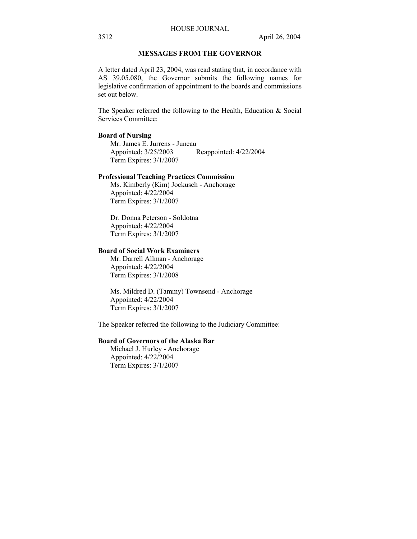# **MESSAGES FROM THE GOVERNOR**

A letter dated April 23, 2004, was read stating that, in accordance with AS 39.05.080, the Governor submits the following names for legislative confirmation of appointment to the boards and commissions set out below.

The Speaker referred the following to the Health, Education & Social Services Committee:

# **Board of Nursing**

Mr. James E. Jurrens - Juneau Appointed: 3/25/2003 Reappointed: 4/22/2004 Term Expires: 3/1/2007

# **Professional Teaching Practices Commission**

Ms. Kimberly (Kim) Jockusch - Anchorage Appointed: 4/22/2004 Term Expires: 3/1/2007

Dr. Donna Peterson - Soldotna Appointed: 4/22/2004 Term Expires: 3/1/2007

# **Board of Social Work Examiners**

Mr. Darrell Allman - Anchorage Appointed: 4/22/2004 Term Expires: 3/1/2008

Ms. Mildred D. (Tammy) Townsend - Anchorage Appointed: 4/22/2004 Term Expires: 3/1/2007

The Speaker referred the following to the Judiciary Committee:

# **Board of Governors of the Alaska Bar**

Michael J. Hurley - Anchorage Appointed: 4/22/2004 Term Expires: 3/1/2007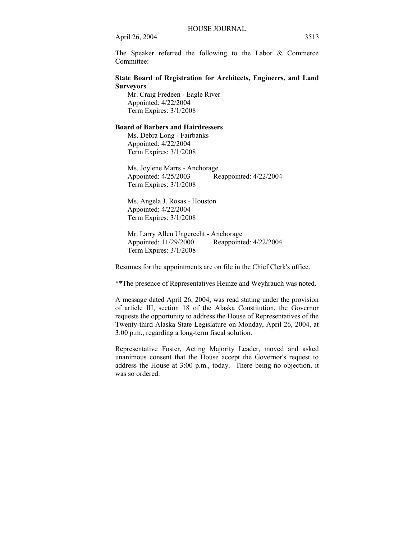The Speaker referred the following to the Labor & Commerce Committee:

# **State Board of Registration for Architects, Engineers, and Land Surveyors**

Mr. Craig Fredeen - Eagle River Appointed: 4/22/2004 Term Expires: 3/1/2008

# **Board of Barbers and Hairdressers**

Ms. Debra Long - Fairbanks Appointed: 4/22/2004 Term Expires: 3/1/2008

Ms. Joylene Marrs - Anchorage Appointed: 4/25/2003 Reappointed: 4/22/2004 Term Expires: 3/1/2008

Ms. Angela J. Rosas - Houston Appointed: 4/22/2004 Term Expires: 3/1/2008

Mr. Larry Allen Ungerecht - Anchorage Appointed: 11/29/2000 Reappointed: 4/22/2004 Term Expires: 3/1/2008

Resumes for the appointments are on file in the Chief Clerk's office.

\*\*The presence of Representatives Heinze and Weyhrauch was noted.

A message dated April 26, 2004, was read stating under the provision of article III, section 18 of the Alaska Constitution, the Governor requests the opportunity to address the House of Representatives of the Twenty-third Alaska State Legislature on Monday, April 26, 2004, at 3:00 p.m., regarding a long-term fiscal solution.

Representative Foster, Acting Majority Leader, moved and asked unanimous consent that the House accept the Governor's request to address the House at 3:00 p.m., today. There being no objection, it was so ordered.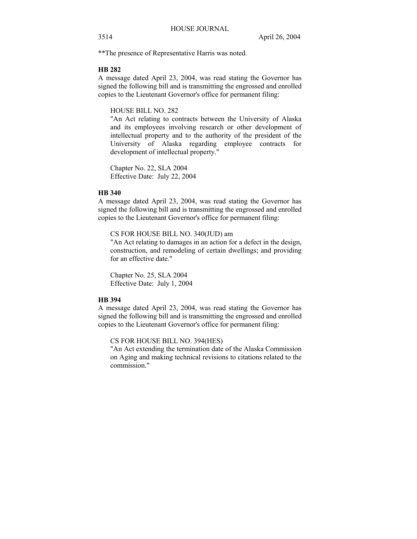\*\*The presence of Representative Harris was noted.

#### **HB 282**

A message dated April 23, 2004, was read stating the Governor has signed the following bill and is transmitting the engrossed and enrolled copies to the Lieutenant Governor's office for permanent filing:

#### HOUSE BILL NO. 282

"An Act relating to contracts between the University of Alaska and its employees involving research or other development of intellectual property and to the authority of the president of the University of Alaska regarding employee contracts for development of intellectual property."

Chapter No. 22, SLA 2004 Effective Date: July 22, 2004

# **HB 340**

A message dated April 23, 2004, was read stating the Governor has signed the following bill and is transmitting the engrossed and enrolled copies to the Lieutenant Governor's office for permanent filing:

CS FOR HOUSE BILL NO. 340(JUD) am

"An Act relating to damages in an action for a defect in the design, construction, and remodeling of certain dwellings; and providing for an effective date."

Chapter No. 25, SLA 2004 Effective Date: July 1, 2004

#### **HB 394**

A message dated April 23, 2004, was read stating the Governor has signed the following bill and is transmitting the engrossed and enrolled copies to the Lieutenant Governor's office for permanent filing:

CS FOR HOUSE BILL NO. 394(HES)

"An Act extending the termination date of the Alaska Commission on Aging and making technical revisions to citations related to the commission."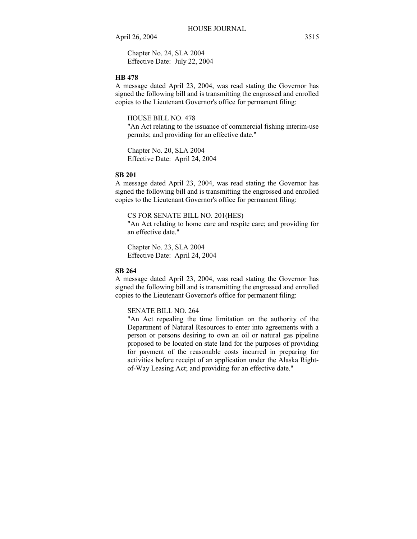Chapter No. 24, SLA 2004 Effective Date: July 22, 2004

#### **HB 478**

A message dated April 23, 2004, was read stating the Governor has signed the following bill and is transmitting the engrossed and enrolled copies to the Lieutenant Governor's office for permanent filing:

HOUSE BILL NO. 478

"An Act relating to the issuance of commercial fishing interim-use permits; and providing for an effective date."

Chapter No. 20, SLA 2004 Effective Date: April 24, 2004

#### **SB 201**

A message dated April 23, 2004, was read stating the Governor has signed the following bill and is transmitting the engrossed and enrolled copies to the Lieutenant Governor's office for permanent filing:

CS FOR SENATE BILL NO. 201(HES)

"An Act relating to home care and respite care; and providing for an effective date."

Chapter No. 23, SLA 2004 Effective Date: April 24, 2004

#### **SB 264**

A message dated April 23, 2004, was read stating the Governor has signed the following bill and is transmitting the engrossed and enrolled copies to the Lieutenant Governor's office for permanent filing:

## SENATE BILL NO. 264

"An Act repealing the time limitation on the authority of the Department of Natural Resources to enter into agreements with a person or persons desiring to own an oil or natural gas pipeline proposed to be located on state land for the purposes of providing for payment of the reasonable costs incurred in preparing for activities before receipt of an application under the Alaska Rightof-Way Leasing Act; and providing for an effective date."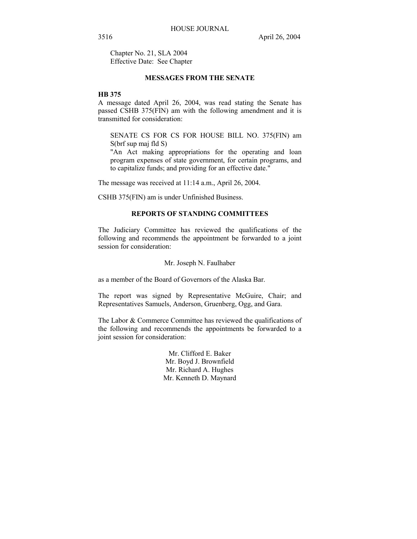Chapter No. 21, SLA 2004 Effective Date: See Chapter

# **MESSAGES FROM THE SENATE**

# **HB 375**

A message dated April 26, 2004, was read stating the Senate has passed CSHB 375(FIN) am with the following amendment and it is transmitted for consideration:

SENATE CS FOR CS FOR HOUSE BILL NO. 375(FIN) am S(brf sup maj fld S)

"An Act making appropriations for the operating and loan program expenses of state government, for certain programs, and to capitalize funds; and providing for an effective date."

The message was received at 11:14 a.m., April 26, 2004.

CSHB 375(FIN) am is under Unfinished Business.

#### **REPORTS OF STANDING COMMITTEES**

The Judiciary Committee has reviewed the qualifications of the following and recommends the appointment be forwarded to a joint session for consideration:

#### Mr. Joseph N. Faulhaber

as a member of the Board of Governors of the Alaska Bar.

The report was signed by Representative McGuire, Chair; and Representatives Samuels, Anderson, Gruenberg, Ogg, and Gara.

The Labor & Commerce Committee has reviewed the qualifications of the following and recommends the appointments be forwarded to a joint session for consideration:

> Mr. Clifford E. Baker Mr. Boyd J. Brownfield Mr. Richard A. Hughes Mr. Kenneth D. Maynard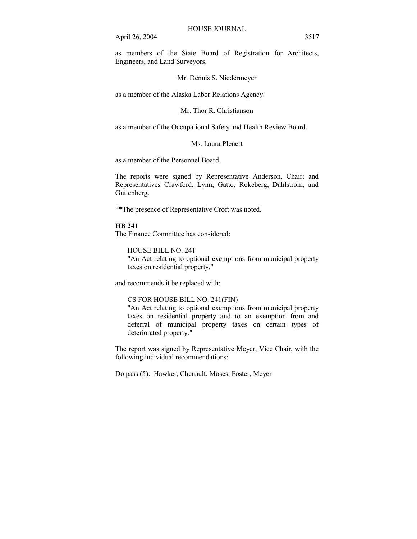as members of the State Board of Registration for Architects, Engineers, and Land Surveyors.

## Mr. Dennis S. Niedermeyer

as a member of the Alaska Labor Relations Agency.

#### Mr. Thor R. Christianson

as a member of the Occupational Safety and Health Review Board.

## Ms. Laura Plenert

as a member of the Personnel Board.

The reports were signed by Representative Anderson, Chair; and Representatives Crawford, Lynn, Gatto, Rokeberg, Dahlstrom, and Guttenberg.

\*\*The presence of Representative Croft was noted.

# **HB 241**

The Finance Committee has considered:

HOUSE BILL NO. 241

"An Act relating to optional exemptions from municipal property taxes on residential property."

and recommends it be replaced with:

# CS FOR HOUSE BILL NO. 241(FIN)

"An Act relating to optional exemptions from municipal property taxes on residential property and to an exemption from and deferral of municipal property taxes on certain types of deteriorated property."

The report was signed by Representative Meyer, Vice Chair, with the following individual recommendations:

Do pass (5): Hawker, Chenault, Moses, Foster, Meyer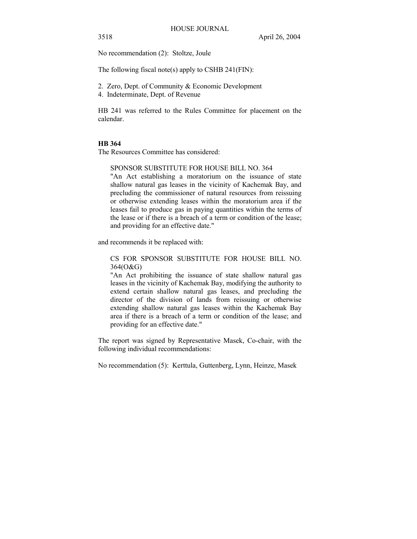No recommendation (2): Stoltze, Joule

The following fiscal note(s) apply to CSHB 241(FIN):

- 2. Zero, Dept. of Community & Economic Development
- 4. Indeterminate, Dept. of Revenue

HB 241 was referred to the Rules Committee for placement on the calendar.

#### **HB 364**

The Resources Committee has considered:

# SPONSOR SUBSTITUTE FOR HOUSE BILL NO. 364

"An Act establishing a moratorium on the issuance of state shallow natural gas leases in the vicinity of Kachemak Bay, and precluding the commissioner of natural resources from reissuing or otherwise extending leases within the moratorium area if the leases fail to produce gas in paying quantities within the terms of the lease or if there is a breach of a term or condition of the lease; and providing for an effective date."

and recommends it be replaced with:

CS FOR SPONSOR SUBSTITUTE FOR HOUSE BILL NO. 364(O&G)

"An Act prohibiting the issuance of state shallow natural gas leases in the vicinity of Kachemak Bay, modifying the authority to extend certain shallow natural gas leases, and precluding the director of the division of lands from reissuing or otherwise extending shallow natural gas leases within the Kachemak Bay area if there is a breach of a term or condition of the lease; and providing for an effective date."

The report was signed by Representative Masek, Co-chair, with the following individual recommendations:

No recommendation (5): Kerttula, Guttenberg, Lynn, Heinze, Masek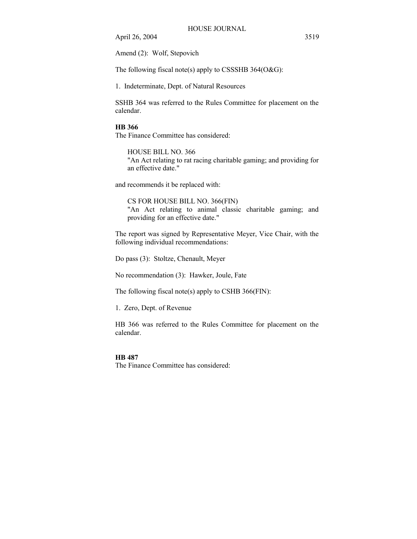Amend (2): Wolf, Stepovich

The following fiscal note(s) apply to CSSSHB  $364(O&G)$ :

1. Indeterminate, Dept. of Natural Resources

SSHB 364 was referred to the Rules Committee for placement on the calendar.

#### **HB 366**

The Finance Committee has considered:

HOUSE BILL NO. 366 "An Act relating to rat racing charitable gaming; and providing for an effective date."

and recommends it be replaced with:

CS FOR HOUSE BILL NO. 366(FIN) "An Act relating to animal classic charitable gaming; and providing for an effective date."

The report was signed by Representative Meyer, Vice Chair, with the following individual recommendations:

Do pass (3): Stoltze, Chenault, Meyer

No recommendation (3): Hawker, Joule, Fate

The following fiscal note(s) apply to CSHB 366(FIN):

1. Zero, Dept. of Revenue

HB 366 was referred to the Rules Committee for placement on the calendar.

#### **HB 487**

The Finance Committee has considered: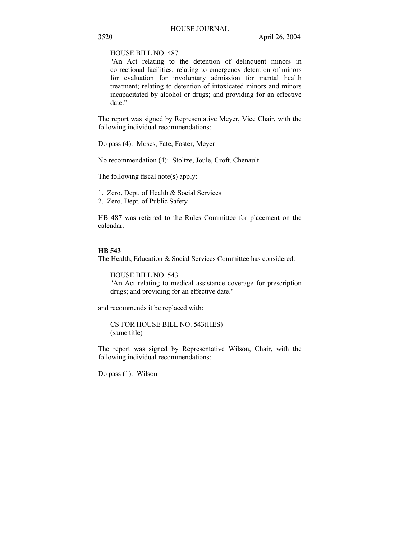HOUSE BILL NO. 487

"An Act relating to the detention of delinquent minors in correctional facilities; relating to emergency detention of minors for evaluation for involuntary admission for mental health treatment; relating to detention of intoxicated minors and minors incapacitated by alcohol or drugs; and providing for an effective date."

The report was signed by Representative Meyer, Vice Chair, with the following individual recommendations:

Do pass (4): Moses, Fate, Foster, Meyer

No recommendation (4): Stoltze, Joule, Croft, Chenault

The following fiscal note(s) apply:

1. Zero, Dept. of Health & Social Services 2. Zero, Dept. of Public Safety

HB 487 was referred to the Rules Committee for placement on the calendar.

# **HB 543**

The Health, Education & Social Services Committee has considered:

HOUSE BILL NO. 543

"An Act relating to medical assistance coverage for prescription drugs; and providing for an effective date."

and recommends it be replaced with:

CS FOR HOUSE BILL NO. 543(HES) (same title)

The report was signed by Representative Wilson, Chair, with the following individual recommendations:

Do pass (1): Wilson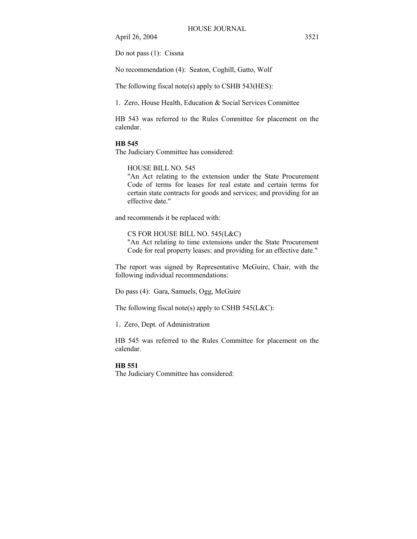Do not pass (1): Cissna

No recommendation (4): Seaton, Coghill, Gatto, Wolf

The following fiscal note(s) apply to CSHB 543(HES):

1. Zero, House Health, Education & Social Services Committee

HB 543 was referred to the Rules Committee for placement on the calendar.

#### **HB 545**

The Judiciary Committee has considered:

# HOUSE BILL NO. 545

"An Act relating to the extension under the State Procurement Code of terms for leases for real estate and certain terms for certain state contracts for goods and services; and providing for an effective date."

and recommends it be replaced with:

CS FOR HOUSE BILL NO. 545(L&C) "An Act relating to time extensions under the State Procurement Code for real property leases; and providing for an effective date."

The report was signed by Representative McGuire, Chair, with the following individual recommendations:

Do pass (4): Gara, Samuels, Ogg, McGuire

The following fiscal note(s) apply to CSHB  $545(L&C)$ :

1. Zero, Dept. of Administration

HB 545 was referred to the Rules Committee for placement on the calendar.

# **HB 551**

The Judiciary Committee has considered: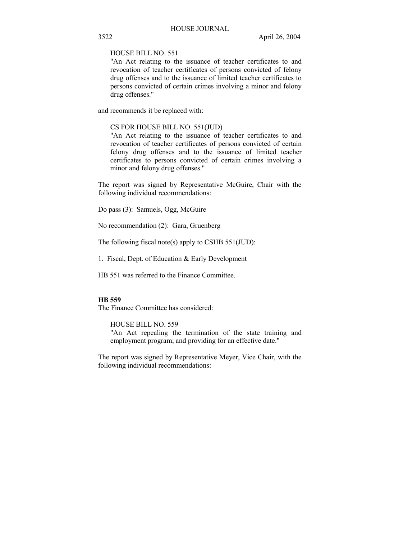HOUSE BILL NO. 551

"An Act relating to the issuance of teacher certificates to and revocation of teacher certificates of persons convicted of felony drug offenses and to the issuance of limited teacher certificates to persons convicted of certain crimes involving a minor and felony drug offenses."

and recommends it be replaced with:

#### CS FOR HOUSE BILL NO. 551(JUD)

"An Act relating to the issuance of teacher certificates to and revocation of teacher certificates of persons convicted of certain felony drug offenses and to the issuance of limited teacher certificates to persons convicted of certain crimes involving a minor and felony drug offenses."

The report was signed by Representative McGuire, Chair with the following individual recommendations:

Do pass (3): Samuels, Ogg, McGuire

No recommendation (2): Gara, Gruenberg

The following fiscal note(s) apply to CSHB 551(JUD):

1. Fiscal, Dept. of Education & Early Development

HB 551 was referred to the Finance Committee.

# **HB 559**

The Finance Committee has considered:

HOUSE BILL NO. 559

"An Act repealing the termination of the state training and employment program; and providing for an effective date."

The report was signed by Representative Meyer, Vice Chair, with the following individual recommendations: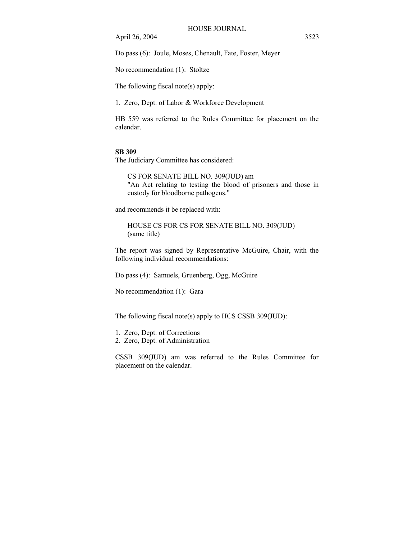Do pass (6): Joule, Moses, Chenault, Fate, Foster, Meyer

No recommendation (1): Stoltze

The following fiscal note(s) apply:

1. Zero, Dept. of Labor & Workforce Development

HB 559 was referred to the Rules Committee for placement on the calendar.

# **SB 309**

The Judiciary Committee has considered:

CS FOR SENATE BILL NO. 309(JUD) am "An Act relating to testing the blood of prisoners and those in custody for bloodborne pathogens."

and recommends it be replaced with:

HOUSE CS FOR CS FOR SENATE BILL NO. 309(JUD) (same title)

The report was signed by Representative McGuire, Chair, with the following individual recommendations:

Do pass (4): Samuels, Gruenberg, Ogg, McGuire

No recommendation (1): Gara

The following fiscal note(s) apply to HCS CSSB 309(JUD):

1. Zero, Dept. of Corrections

2. Zero, Dept. of Administration

CSSB 309(JUD) am was referred to the Rules Committee for placement on the calendar.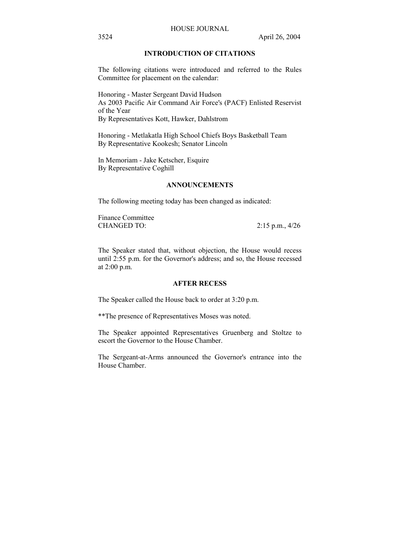# HOUSE JOURNAL

# **INTRODUCTION OF CITATIONS**

The following citations were introduced and referred to the Rules Committee for placement on the calendar:

Honoring - Master Sergeant David Hudson As 2003 Pacific Air Command Air Force's (PACF) Enlisted Reservist of the Year By Representatives Kott, Hawker, Dahlstrom

Honoring - Metlakatla High School Chiefs Boys Basketball Team By Representative Kookesh; Senator Lincoln

In Memoriam - Jake Ketscher, Esquire By Representative Coghill

## **ANNOUNCEMENTS**

The following meeting today has been changed as indicated:

Finance Committee CHANGED TO: 2:15 p.m., 4/26

The Speaker stated that, without objection, the House would recess until 2:55 p.m. for the Governor's address; and so, the House recessed at 2:00 p.m.

## **AFTER RECESS**

The Speaker called the House back to order at 3:20 p.m.

\*\*The presence of Representatives Moses was noted.

The Speaker appointed Representatives Gruenberg and Stoltze to escort the Governor to the House Chamber.

The Sergeant-at-Arms announced the Governor's entrance into the House Chamber.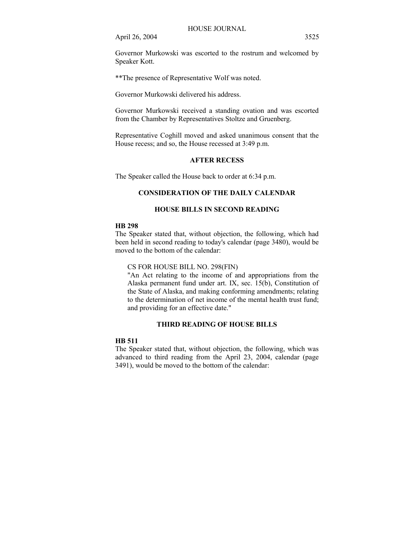Governor Murkowski was escorted to the rostrum and welcomed by Speaker Kott.

\*\*The presence of Representative Wolf was noted.

Governor Murkowski delivered his address.

Governor Murkowski received a standing ovation and was escorted from the Chamber by Representatives Stoltze and Gruenberg.

Representative Coghill moved and asked unanimous consent that the House recess; and so, the House recessed at 3:49 p.m.

# **AFTER RECESS**

The Speaker called the House back to order at 6:34 p.m.

# **CONSIDERATION OF THE DAILY CALENDAR**

# **HOUSE BILLS IN SECOND READING**

# **HB 298**

The Speaker stated that, without objection, the following, which had been held in second reading to today's calendar (page 3480), would be moved to the bottom of the calendar:

# CS FOR HOUSE BILL NO. 298(FIN)

"An Act relating to the income of and appropriations from the Alaska permanent fund under art. IX, sec. 15(b), Constitution of the State of Alaska, and making conforming amendments; relating to the determination of net income of the mental health trust fund; and providing for an effective date."

# **THIRD READING OF HOUSE BILLS**

#### **HB 511**

The Speaker stated that, without objection, the following, which was advanced to third reading from the April 23, 2004, calendar (page 3491), would be moved to the bottom of the calendar: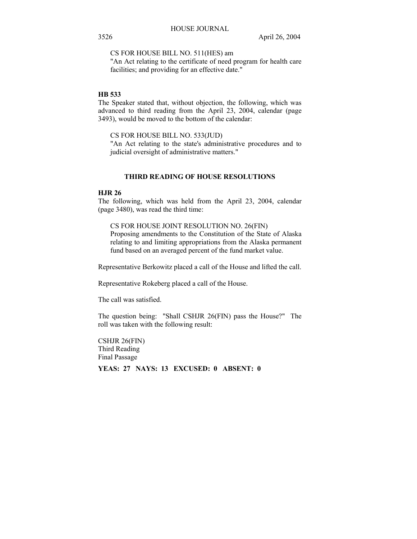CS FOR HOUSE BILL NO. 511(HES) am

"An Act relating to the certificate of need program for health care facilities; and providing for an effective date."

# **HB 533**

The Speaker stated that, without objection, the following, which was advanced to third reading from the April 23, 2004, calendar (page 3493), would be moved to the bottom of the calendar:

CS FOR HOUSE BILL NO. 533(JUD)

"An Act relating to the state's administrative procedures and to judicial oversight of administrative matters."

# **THIRD READING OF HOUSE RESOLUTIONS**

# **HJR 26**

The following, which was held from the April 23, 2004, calendar (page 3480), was read the third time:

CS FOR HOUSE JOINT RESOLUTION NO. 26(FIN) Proposing amendments to the Constitution of the State of Alaska relating to and limiting appropriations from the Alaska permanent fund based on an averaged percent of the fund market value.

Representative Berkowitz placed a call of the House and lifted the call.

Representative Rokeberg placed a call of the House.

The call was satisfied.

The question being: "Shall CSHJR 26(FIN) pass the House?" The roll was taken with the following result:

CSHJR 26(FIN) Third Reading Final Passage

**YEAS: 27 NAYS: 13 EXCUSED: 0 ABSENT: 0**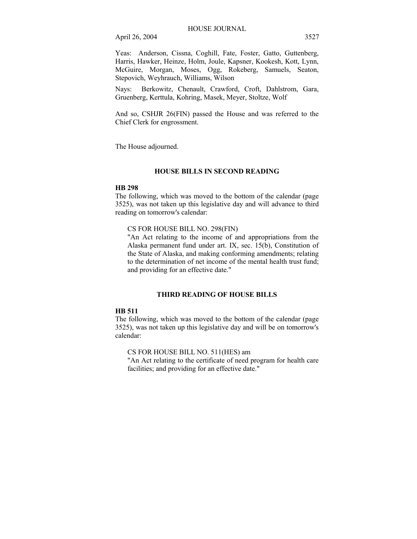Yeas: Anderson, Cissna, Coghill, Fate, Foster, Gatto, Guttenberg, Harris, Hawker, Heinze, Holm, Joule, Kapsner, Kookesh, Kott, Lynn, McGuire, Morgan, Moses, Ogg, Rokeberg, Samuels, Seaton, Stepovich, Weyhrauch, Williams, Wilson

Nays: Berkowitz, Chenault, Crawford, Croft, Dahlstrom, Gara, Gruenberg, Kerttula, Kohring, Masek, Meyer, Stoltze, Wolf

And so, CSHJR 26(FIN) passed the House and was referred to the Chief Clerk for engrossment.

The House adjourned.

# **HOUSE BILLS IN SECOND READING**

# **HB 298**

The following, which was moved to the bottom of the calendar (page 3525), was not taken up this legislative day and will advance to third reading on tomorrow's calendar:

# CS FOR HOUSE BILL NO. 298(FIN)

"An Act relating to the income of and appropriations from the Alaska permanent fund under art. IX, sec. 15(b), Constitution of the State of Alaska, and making conforming amendments; relating to the determination of net income of the mental health trust fund; and providing for an effective date."

## **THIRD READING OF HOUSE BILLS**

## **HB 511**

The following, which was moved to the bottom of the calendar (page 3525), was not taken up this legislative day and will be on tomorrow's calendar:

CS FOR HOUSE BILL NO. 511(HES) am

"An Act relating to the certificate of need program for health care facilities; and providing for an effective date."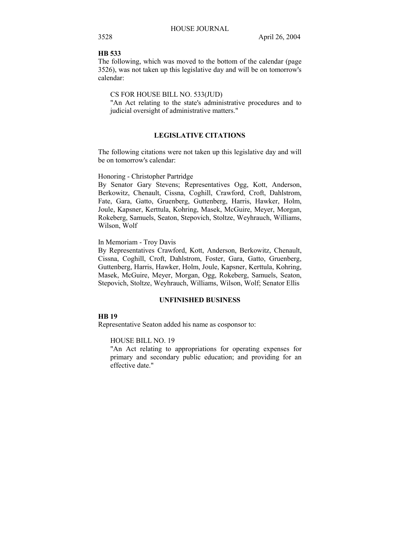# **HB 533**

The following, which was moved to the bottom of the calendar (page 3526), was not taken up this legislative day and will be on tomorrow's calendar:

## CS FOR HOUSE BILL NO. 533(JUD)

"An Act relating to the state's administrative procedures and to judicial oversight of administrative matters."

# **LEGISLATIVE CITATIONS**

The following citations were not taken up this legislative day and will be on tomorrow's calendar:

#### Honoring - Christopher Partridge

By Senator Gary Stevens; Representatives Ogg, Kott, Anderson, Berkowitz, Chenault, Cissna, Coghill, Crawford, Croft, Dahlstrom, Fate, Gara, Gatto, Gruenberg, Guttenberg, Harris, Hawker, Holm, Joule, Kapsner, Kerttula, Kohring, Masek, McGuire, Meyer, Morgan, Rokeberg, Samuels, Seaton, Stepovich, Stoltze, Weyhrauch, Williams, Wilson, Wolf

#### In Memoriam - Troy Davis

By Representatives Crawford, Kott, Anderson, Berkowitz, Chenault, Cissna, Coghill, Croft, Dahlstrom, Foster, Gara, Gatto, Gruenberg, Guttenberg, Harris, Hawker, Holm, Joule, Kapsner, Kerttula, Kohring, Masek, McGuire, Meyer, Morgan, Ogg, Rokeberg, Samuels, Seaton, Stepovich, Stoltze, Weyhrauch, Williams, Wilson, Wolf; Senator Ellis

# **UNFINISHED BUSINESS**

#### **HB 19**

Representative Seaton added his name as cosponsor to:

#### HOUSE BILL NO. 19

"An Act relating to appropriations for operating expenses for primary and secondary public education; and providing for an effective date."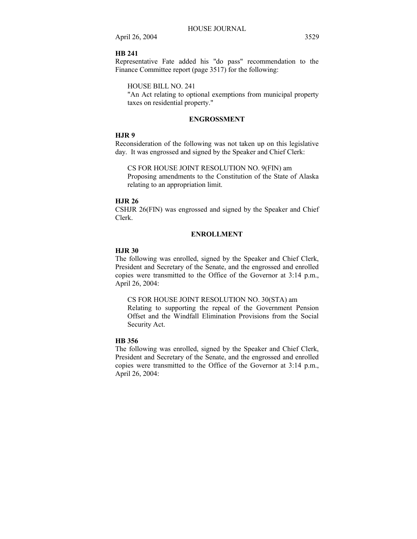## **HB 241**

Representative Fate added his "do pass" recommendation to the Finance Committee report (page 3517) for the following:

HOUSE BILL NO. 241

"An Act relating to optional exemptions from municipal property taxes on residential property."

# **ENGROSSMENT**

# **HJR 9**

Reconsideration of the following was not taken up on this legislative day. It was engrossed and signed by the Speaker and Chief Clerk:

CS FOR HOUSE JOINT RESOLUTION NO. 9(FIN) am

Proposing amendments to the Constitution of the State of Alaska relating to an appropriation limit.

## **HJR 26**

CSHJR 26(FIN) was engrossed and signed by the Speaker and Chief Clerk.

# **ENROLLMENT**

# **HJR 30**

The following was enrolled, signed by the Speaker and Chief Clerk, President and Secretary of the Senate, and the engrossed and enrolled copies were transmitted to the Office of the Governor at 3:14 p.m., April 26, 2004:

CS FOR HOUSE JOINT RESOLUTION NO. 30(STA) am Relating to supporting the repeal of the Government Pension Offset and the Windfall Elimination Provisions from the Social Security Act.

# **HB 356**

The following was enrolled, signed by the Speaker and Chief Clerk, President and Secretary of the Senate, and the engrossed and enrolled copies were transmitted to the Office of the Governor at 3:14 p.m., April 26, 2004: